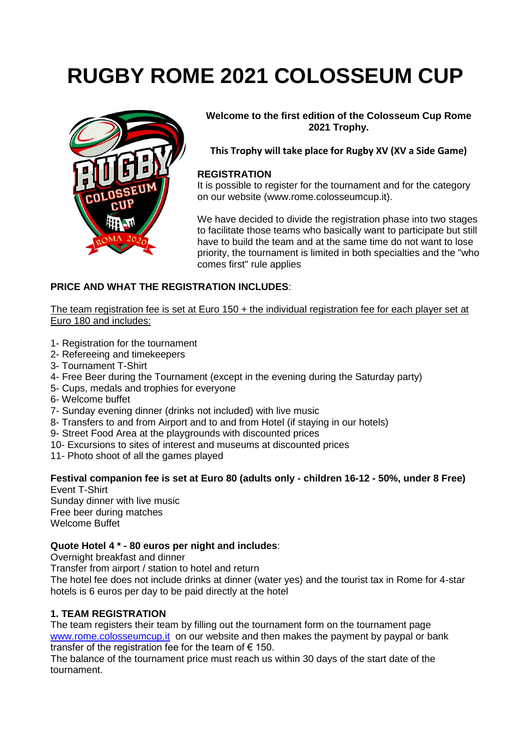# **RUGBY ROME 2021 COLOSSEUM CUP**



**Welcome to the first edition of the Colosseum Cup Rome 2021 Trophy.**

**This Trophy will take place for Rugby XV (XV a Side Game)**

### **REGISTRATION**

It is possible to register for the tournament and for the category on our website (www.rome.colosseumcup.it).

We have decided to divide the registration phase into two stages to facilitate those teams who basically want to participate but still have to build the team and at the same time do not want to lose priority, the tournament is limited in both specialties and the "who comes first" rule applies

### **PRICE AND WHAT THE REGISTRATION INCLUDES**:

The team registration fee is set at Euro 150 + the individual registration fee for each player set at Euro 180 and includes:

- 1- Registration for the tournament
- 2- Refereeing and timekeepers
- 3- Tournament T-Shirt
- 4- Free Beer during the Tournament (except in the evening during the Saturday party)
- 5- Cups, medals and trophies for everyone
- 6- Welcome buffet
- 7- Sunday evening dinner (drinks not included) with live music
- 8- Transfers to and from Airport and to and from Hotel (if staying in our hotels)
- 9- Street Food Area at the playgrounds with discounted prices
- 10- Excursions to sites of interest and museums at discounted prices
- 11- Photo shoot of all the games played

## **Festival companion fee is set at Euro 80 (adults only - children 16-12 - 50%, under 8 Free)**

Event T-Shirt Sunday dinner with live music Free beer during matches Welcome Buffet

### **Quote Hotel 4 \* - 80 euros per night and includes**:

Overnight breakfast and dinner

Transfer from airport / station to hotel and return

The hotel fee does not include drinks at dinner (water yes) and the tourist tax in Rome for 4-star hotels is 6 euros per day to be paid directly at the hotel

### **1. TEAM REGISTRATION**

The team registers their team by filling out the tournament form on the tournament page [www.rome.colosseumcup.it](http://www.rome.colosseumcup.it/) on our website and then makes the payment by paypal or bank transfer of the registration fee for the team of  $\epsilon$  150.

The balance of the tournament price must reach us within 30 days of the start date of the tournament.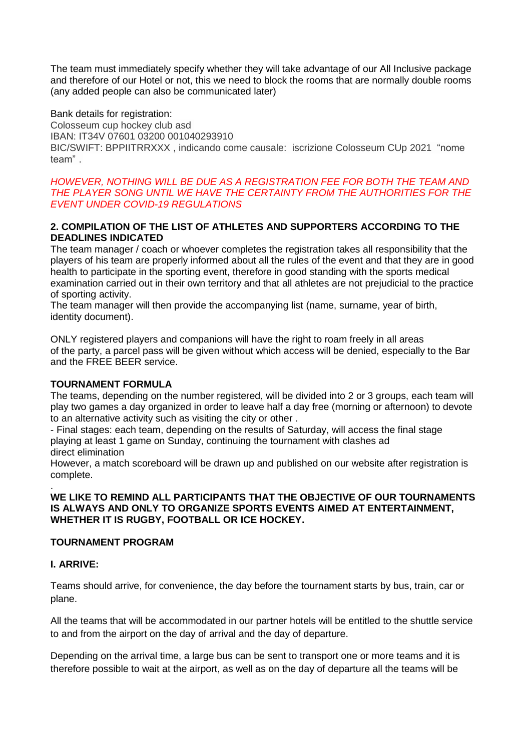The team must immediately specify whether they will take advantage of our All Inclusive package and therefore of our Hotel or not, this we need to block the rooms that are normally double rooms (any added people can also be communicated later)

Bank details for registration: Colosseum cup hockey club asd IBAN: IT34V 07601 03200 001040293910 BIC/SWIFT: BPPIITRRXXX , indicando come causale: iscrizione Colosseum CUp 2021 "nome team" .

### *HOWEVER, NOTHING WILL BE DUE AS A REGISTRATION FEE FOR BOTH THE TEAM AND THE PLAYER SONG UNTIL WE HAVE THE CERTAINTY FROM THE AUTHORITIES FOR THE EVENT UNDER COVID-19 REGULATIONS*

### **2. COMPILATION OF THE LIST OF ATHLETES AND SUPPORTERS ACCORDING TO THE DEADLINES INDICATED**

The team manager / coach or whoever completes the registration takes all responsibility that the players of his team are properly informed about all the rules of the event and that they are in good health to participate in the sporting event, therefore in good standing with the sports medical examination carried out in their own territory and that all athletes are not prejudicial to the practice of sporting activity.

The team manager will then provide the accompanying list (name, surname, year of birth, identity document).

ONLY registered players and companions will have the right to roam freely in all areas of the party, a parcel pass will be given without which access will be denied, especially to the Bar and the FREE BEER service.

### **TOURNAMENT FORMULA**

The teams, depending on the number registered, will be divided into 2 or 3 groups, each team will play two games a day organized in order to leave half a day free (morning or afternoon) to devote to an alternative activity such as visiting the city or other .

- Final stages: each team, depending on the results of Saturday, will access the final stage playing at least 1 game on Sunday, continuing the tournament with clashes ad direct elimination

However, a match scoreboard will be drawn up and published on our website after registration is complete.

### **WE LIKE TO REMIND ALL PARTICIPANTS THAT THE OBJECTIVE OF OUR TOURNAMENTS IS ALWAYS AND ONLY TO ORGANIZE SPORTS EVENTS AIMED AT ENTERTAINMENT, WHETHER IT IS RUGBY, FOOTBALL OR ICE HOCKEY.**

### **TOURNAMENT PROGRAM**

### **I. ARRIVE:**

.

Teams should arrive, for convenience, the day before the tournament starts by bus, train, car or plane.

All the teams that will be accommodated in our partner hotels will be entitled to the shuttle service to and from the airport on the day of arrival and the day of departure.

Depending on the arrival time, a large bus can be sent to transport one or more teams and it is therefore possible to wait at the airport, as well as on the day of departure all the teams will be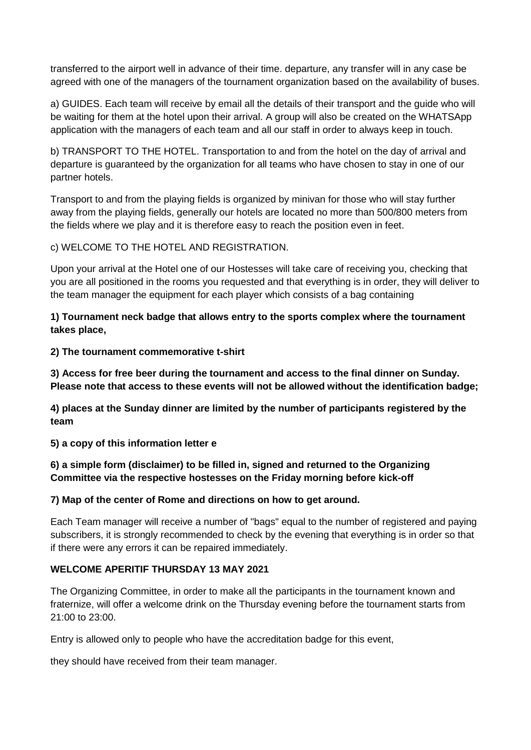transferred to the airport well in advance of their time. departure, any transfer will in any case be agreed with one of the managers of the tournament organization based on the availability of buses.

a) GUIDES. Each team will receive by email all the details of their transport and the guide who will be waiting for them at the hotel upon their arrival. A group will also be created on the WHATSApp application with the managers of each team and all our staff in order to always keep in touch.

b) TRANSPORT TO THE HOTEL. Transportation to and from the hotel on the day of arrival and departure is guaranteed by the organization for all teams who have chosen to stay in one of our partner hotels.

Transport to and from the playing fields is organized by minivan for those who will stay further away from the playing fields, generally our hotels are located no more than 500/800 meters from the fields where we play and it is therefore easy to reach the position even in feet.

c) WELCOME TO THE HOTEL AND REGISTRATION.

Upon your arrival at the Hotel one of our Hostesses will take care of receiving you, checking that you are all positioned in the rooms you requested and that everything is in order, they will deliver to the team manager the equipment for each player which consists of a bag containing

**1) Tournament neck badge that allows entry to the sports complex where the tournament takes place,**

**2) The tournament commemorative t-shirt**

**3) Access for free beer during the tournament and access to the final dinner on Sunday. Please note that access to these events will not be allowed without the identification badge;**

**4) places at the Sunday dinner are limited by the number of participants registered by the team**

**5) a copy of this information letter e**

**6) a simple form (disclaimer) to be filled in, signed and returned to the Organizing Committee via the respective hostesses on the Friday morning before kick-off**

### **7) Map of the center of Rome and directions on how to get around.**

Each Team manager will receive a number of "bags" equal to the number of registered and paying subscribers, it is strongly recommended to check by the evening that everything is in order so that if there were any errors it can be repaired immediately.

### **WELCOME APERITIF THURSDAY 13 MAY 2021**

The Organizing Committee, in order to make all the participants in the tournament known and fraternize, will offer a welcome drink on the Thursday evening before the tournament starts from 21:00 to 23:00.

Entry is allowed only to people who have the accreditation badge for this event,

they should have received from their team manager.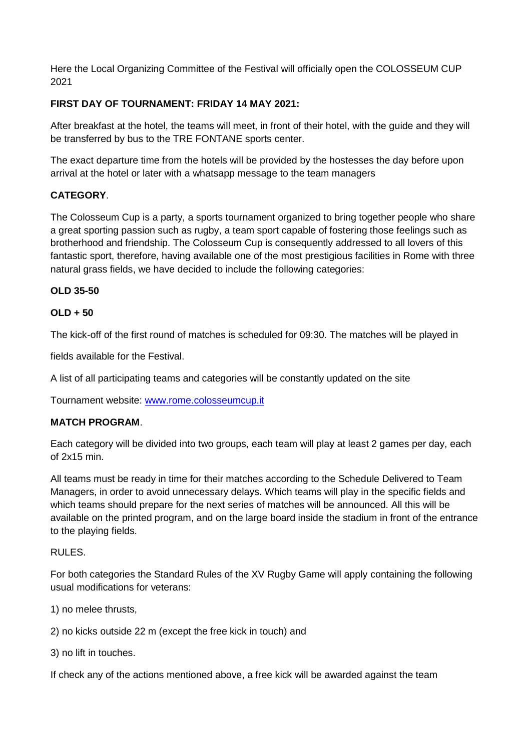Here the Local Organizing Committee of the Festival will officially open the COLOSSEUM CUP 2021

### **FIRST DAY OF TOURNAMENT: FRIDAY 14 MAY 2021:**

After breakfast at the hotel, the teams will meet, in front of their hotel, with the guide and they will be transferred by bus to the TRE FONTANE sports center.

The exact departure time from the hotels will be provided by the hostesses the day before upon arrival at the hotel or later with a whatsapp message to the team managers

### **CATEGORY**.

The Colosseum Cup is a party, a sports tournament organized to bring together people who share a great sporting passion such as rugby, a team sport capable of fostering those feelings such as brotherhood and friendship. The Colosseum Cup is consequently addressed to all lovers of this fantastic sport, therefore, having available one of the most prestigious facilities in Rome with three natural grass fields, we have decided to include the following categories:

### **OLD 35-50**

### **OLD + 50**

The kick-off of the first round of matches is scheduled for 09:30. The matches will be played in

fields available for the Festival.

A list of all participating teams and categories will be constantly updated on the site

Tournament website: [www.rome.colosseumcup.it](http://www.rome.colosseumcup.it/)

### **MATCH PROGRAM**.

Each category will be divided into two groups, each team will play at least 2 games per day, each of 2x15 min.

All teams must be ready in time for their matches according to the Schedule Delivered to Team Managers, in order to avoid unnecessary delays. Which teams will play in the specific fields and which teams should prepare for the next series of matches will be announced. All this will be available on the printed program, and on the large board inside the stadium in front of the entrance to the playing fields.

### RULES.

For both categories the Standard Rules of the XV Rugby Game will apply containing the following usual modifications for veterans:

1) no melee thrusts,

2) no kicks outside 22 m (except the free kick in touch) and

3) no lift in touches.

If check any of the actions mentioned above, a free kick will be awarded against the team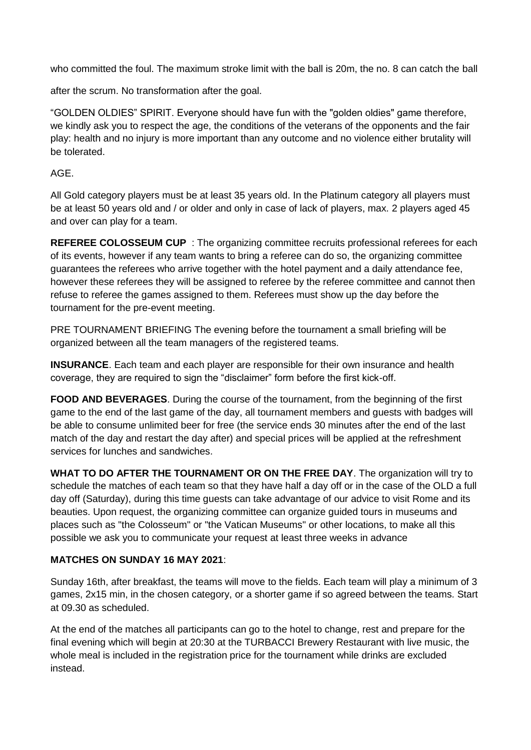who committed the foul. The maximum stroke limit with the ball is 20m, the no. 8 can catch the ball

after the scrum. No transformation after the goal.

"GOLDEN OLDIES" SPIRIT. Everyone should have fun with the "golden oldies" game therefore, we kindly ask you to respect the age, the conditions of the veterans of the opponents and the fair play: health and no injury is more important than any outcome and no violence either brutality will be tolerated.

### AGE.

All Gold category players must be at least 35 years old. In the Platinum category all players must be at least 50 years old and / or older and only in case of lack of players, max. 2 players aged 45 and over can play for a team.

**REFEREE COLOSSEUM CUP** : The organizing committee recruits professional referees for each of its events, however if any team wants to bring a referee can do so, the organizing committee guarantees the referees who arrive together with the hotel payment and a daily attendance fee, however these referees they will be assigned to referee by the referee committee and cannot then refuse to referee the games assigned to them. Referees must show up the day before the tournament for the pre-event meeting.

PRE TOURNAMENT BRIEFING The evening before the tournament a small briefing will be organized between all the team managers of the registered teams.

**INSURANCE**. Each team and each player are responsible for their own insurance and health coverage, they are required to sign the "disclaimer" form before the first kick-off.

**FOOD AND BEVERAGES**. During the course of the tournament, from the beginning of the first game to the end of the last game of the day, all tournament members and guests with badges will be able to consume unlimited beer for free (the service ends 30 minutes after the end of the last match of the day and restart the day after) and special prices will be applied at the refreshment services for lunches and sandwiches.

**WHAT TO DO AFTER THE TOURNAMENT OR ON THE FREE DAY**. The organization will try to schedule the matches of each team so that they have half a day off or in the case of the OLD a full day off (Saturday), during this time guests can take advantage of our advice to visit Rome and its beauties. Upon request, the organizing committee can organize guided tours in museums and places such as "the Colosseum" or "the Vatican Museums" or other locations, to make all this possible we ask you to communicate your request at least three weeks in advance

### **MATCHES ON SUNDAY 16 MAY 2021**:

Sunday 16th, after breakfast, the teams will move to the fields. Each team will play a minimum of 3 games, 2x15 min, in the chosen category, or a shorter game if so agreed between the teams. Start at 09.30 as scheduled.

At the end of the matches all participants can go to the hotel to change, rest and prepare for the final evening which will begin at 20:30 at the TURBACCI Brewery Restaurant with live music, the whole meal is included in the registration price for the tournament while drinks are excluded instead.